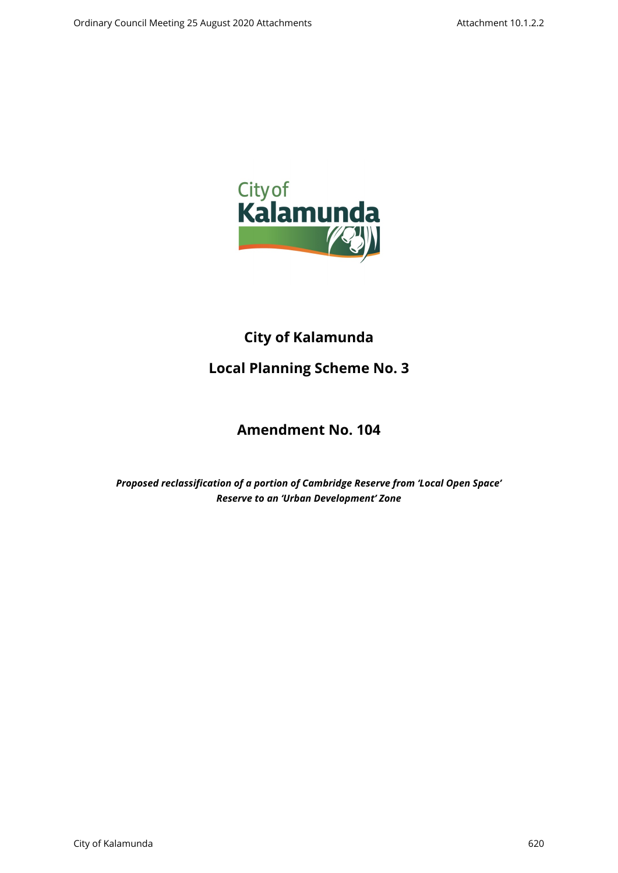

# **City of Kalamunda**

# **Local Planning Scheme No. 3**

# **Amendment No. 104**

*Proposed reclassification of a portion of Cambridge Reserve from 'Local Open Space' Reserve to an 'Urban Development' Zone*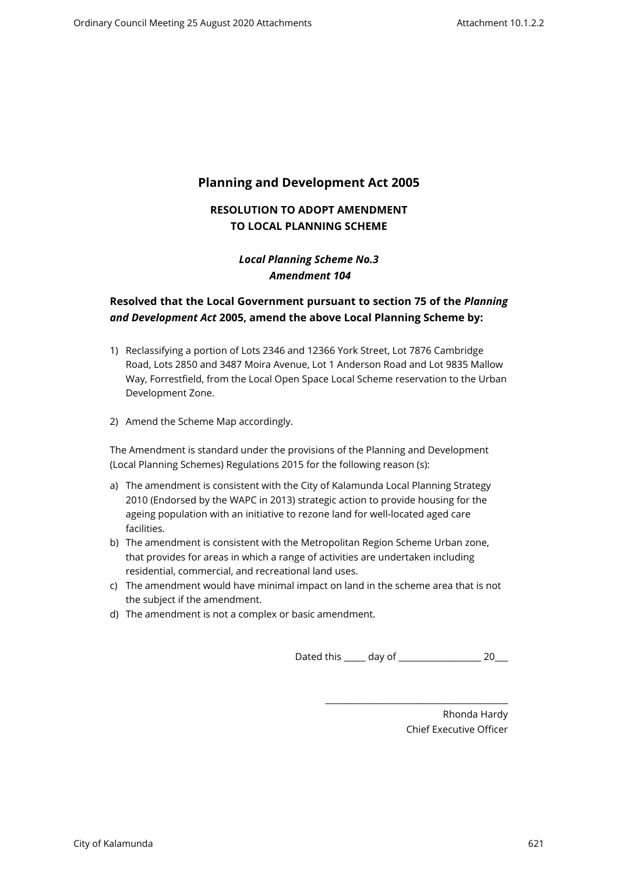# **Planning and Development Act 2005**

## **RESOLUTION TO ADOPT AMENDMENT TO LOCAL PLANNING SCHEME**

## *Local Planning Scheme No.3 Amendment 104*

## **Resolved that the Local Government pursuant to section 75 of the** *Planning and Development Act* **2005, amend the above Local Planning Scheme by:**

- 1) Reclassifying a portion of Lots 2346 and 12366 York Street, Lot 7876 Cambridge Road, Lots 2850 and 3487 Moira Avenue, Lot 1 Anderson Road and Lot 9835 Mallow Way, Forrestfield, from the Local Open Space Local Scheme reservation to the Urban Development Zone.
- 2) Amend the Scheme Map accordingly.

The Amendment is standard under the provisions of the Planning and Development (Local Planning Schemes) Regulations 2015 for the following reason (s):

- a) The amendment is consistent with the City of Kalamunda Local Planning Strategy 2010 (Endorsed by the WAPC in 2013) strategic action to provide housing for the ageing population with an initiative to rezone land for well-located aged care facilities.
- b) The amendment is consistent with the Metropolitan Region Scheme Urban zone, that provides for areas in which a range of activities are undertaken including residential, commercial, and recreational land uses.
- c) The amendment would have minimal impact on land in the scheme area that is not the subject if the amendment.
- d) The amendment is not a complex or basic amendment.

Dated this \_\_\_\_\_ day of \_\_\_\_\_\_\_\_\_\_\_\_\_\_\_\_\_\_\_ 20\_\_\_

\_\_\_\_\_\_\_\_\_\_\_\_\_\_\_\_\_\_\_\_\_\_\_\_\_\_\_\_\_\_\_\_\_\_\_\_\_\_\_\_\_\_

Rhonda Hardy Chief Executive Officer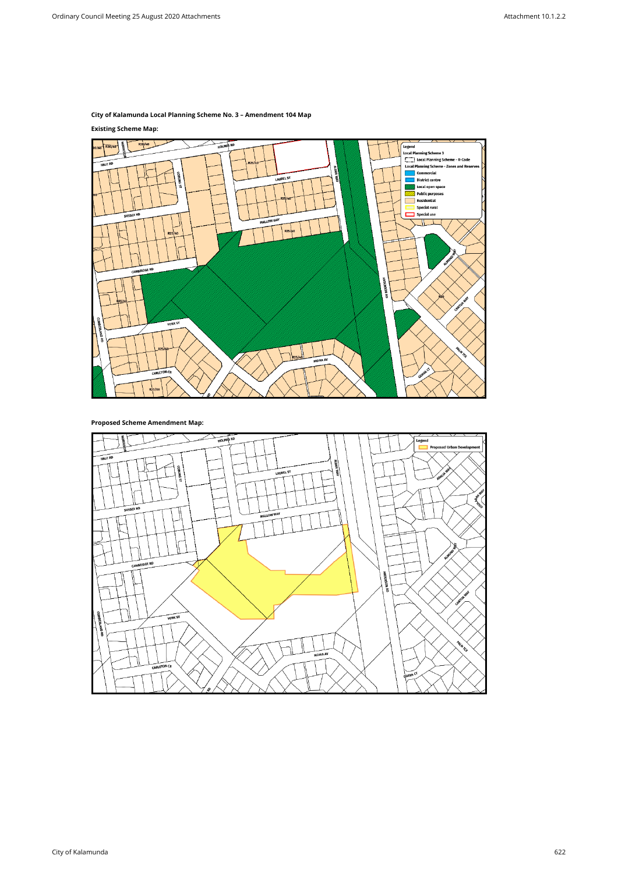## **City of Kalamunda Local Planning Scheme No. 3 – Amendment 104 Map**

## **Existing Scheme Map:**



**Proposed Scheme Amendment Map:**

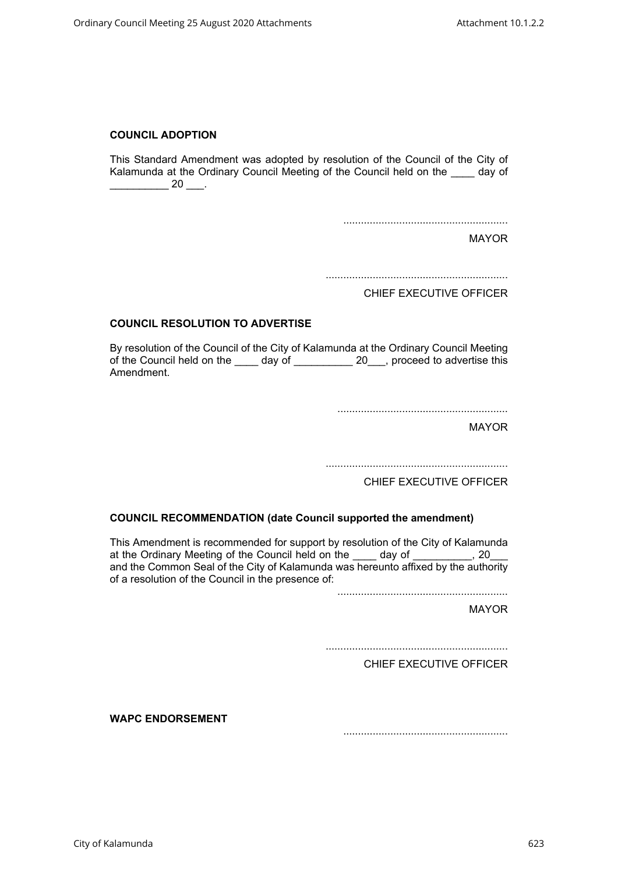### **COUNCIL ADOPTION**

This Standard Amendment was adopted by resolution of the Council of the City of Kalamunda at the Ordinary Council Meeting of the Council held on the \_\_\_\_ day of  $\frac{1}{20}$  20  $\frac{1}{20}$ .

........................................................

MAYOR

..............................................................

CHIEF EXECUTIVE OFFICER

### **COUNCIL RESOLUTION TO ADVERTISE**

By resolution of the Council of the City of Kalamunda at the Ordinary Council Meeting of the Council held on the day of 20 proceed to advertise this Amendment.

..........................................................

MAYOR

..............................................................

CHIEF EXECUTIVE OFFICER

### **COUNCIL RECOMMENDATION (date Council supported the amendment)**

This Amendment is recommended for support by resolution of the City of Kalamunda at the Ordinary Meeting of the Council held on the day of the Council needs on the day of the Council needs and and the Common Seal of the City of Kalamunda was hereunto affixed by the authority of a resolution of the Council in the presence of:

..........................................................

MAYOR

..............................................................

CHIEF EXECUTIVE OFFICER

**WAPC ENDORSEMENT** 

........................................................